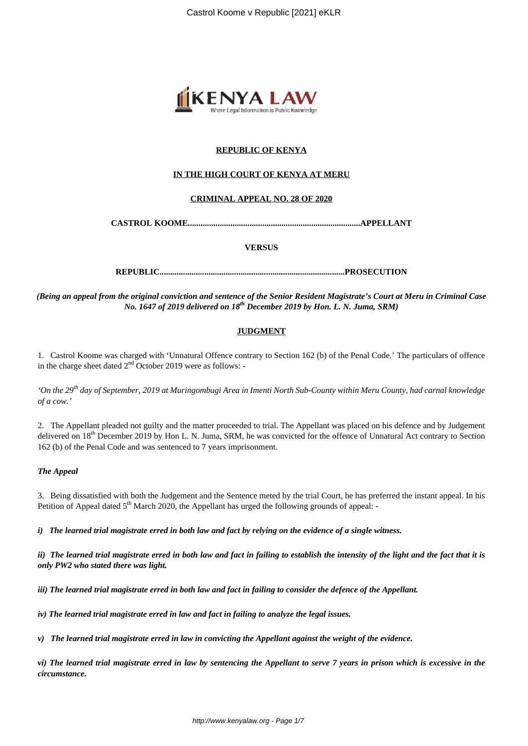

## **REPUBLIC OF KENYA**

## **IN THE HIGH COURT OF KENYA AT MERU**

## **CRIMINAL APPEAL NO. 28 OF 2020**

**CASTROL KOOME.................................................................................APPELLANT**

### **VERSUS**

**REPUBLIC.......................................................................................PROSECUTION**

*(Being an appeal from the original conviction and sentence of the Senior Resident Magistrate's Court at Meru in Criminal Case No. 1647 of 2019 delivered on 18th December 2019 by Hon. L. N. Juma, SRM)*

## **JUDGMENT**

1. Castrol Koome was charged with 'Unnatural Offence contrary to Section 162 (b) of the Penal Code.' The particulars of offence in the charge sheet dated  $2<sup>nd</sup>$  October 2019 were as follows: -

*'On the 29th day of September, 2019 at Muringombugi Area in Imenti North Sub-County within Meru County, had carnal knowledge of a cow.'*

2. The Appellant pleaded not guilty and the matter proceeded to trial. The Appellant was placed on his defence and by Judgement delivered on 18<sup>th</sup> December 2019 by Hon L. N. Juma, SRM, he was convicted for the offence of Unnatural Act contrary to Section 162 (b) of the Penal Code and was sentenced to 7 years imprisonment.

#### *The Appeal*

3. Being dissatisfied with both the Judgement and the Sentence meted by the trial Court, he has preferred the instant appeal. In his Petition of Appeal dated  $5<sup>th</sup>$  March 2020, the Appellant has urged the following grounds of appeal:

*i) The learned trial magistrate erred in both law and fact by relying on the evidence of a single witness.*

*ii) The learned trial magistrate erred in both law and fact in failing to establish the intensity of the light and the fact that it is only PW2 who stated there was light.*

*iii) The learned trial magistrate erred in both law and fact in failing to consider the defence of the Appellant.*

*iv) The learned trial magistrate erred in law and fact in failing to analyze the legal issues.*

*v) The learned trial magistrate erred in law in convicting the Appellant against the weight of the evidence.*

*vi) The learned trial magistrate erred in law by sentencing the Appellant to serve 7 years in prison which is excessive in the circumstance.*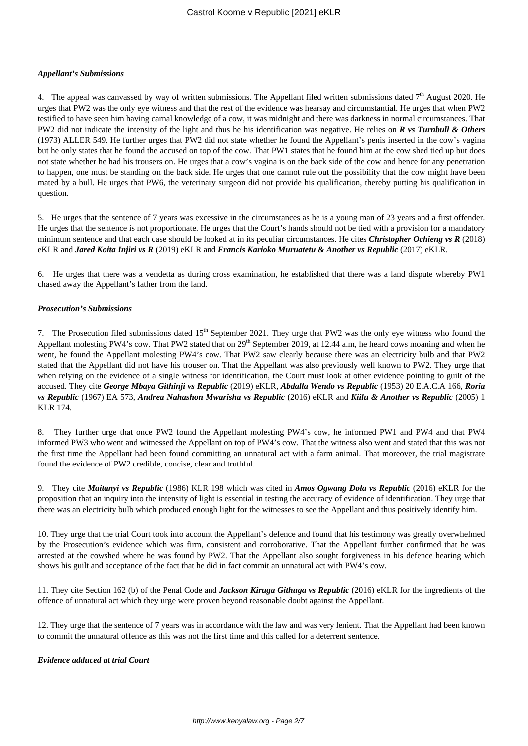#### *Appellant's Submissions*

4. The appeal was canvassed by way of written submissions. The Appellant filed written submissions dated  $7<sup>th</sup>$  August 2020. He urges that PW2 was the only eye witness and that the rest of the evidence was hearsay and circumstantial. He urges that when PW2 testified to have seen him having carnal knowledge of a cow, it was midnight and there was darkness in normal circumstances. That PW2 did not indicate the intensity of the light and thus he his identification was negative. He relies on *R vs Turnbull & Others* (1973) ALLER 549. He further urges that PW2 did not state whether he found the Appellant's penis inserted in the cow's vagina but he only states that he found the accused on top of the cow. That PW1 states that he found him at the cow shed tied up but does not state whether he had his trousers on. He urges that a cow's vagina is on the back side of the cow and hence for any penetration to happen, one must be standing on the back side. He urges that one cannot rule out the possibility that the cow might have been mated by a bull. He urges that PW6, the veterinary surgeon did not provide his qualification, thereby putting his qualification in question.

5. He urges that the sentence of 7 years was excessive in the circumstances as he is a young man of 23 years and a first offender. He urges that the sentence is not proportionate. He urges that the Court's hands should not be tied with a provision for a mandatory minimum sentence and that each case should be looked at in its peculiar circumstances. He cites *Christopher Ochieng vs R* (2018) eKLR and *Jared Koita Injiri vs R* (2019) eKLR and *Francis Karioko Muruatetu & Another vs Republic* (2017) eKLR.

6. He urges that there was a vendetta as during cross examination, he established that there was a land dispute whereby PW1 chased away the Appellant's father from the land.

## *Prosecution's Submissions*

7. The Prosecution filed submissions dated 15<sup>th</sup> September 2021. They urge that PW2 was the only eye witness who found the Appellant molesting PW4's cow. That PW2 stated that on 29<sup>th</sup> September 2019, at 12.44 a.m, he heard cows moaning and when he went, he found the Appellant molesting PW4's cow. That PW2 saw clearly because there was an electricity bulb and that PW2 stated that the Appellant did not have his trouser on. That the Appellant was also previously well known to PW2. They urge that when relying on the evidence of a single witness for identification, the Court must look at other evidence pointing to guilt of the accused. They cite *George Mbaya Githinji vs Republic* (2019) eKLR, *Abdalla Wendo vs Republic* (1953) 20 E.A.C.A 166, *Roria vs Republic* (1967) EA 573, *Andrea Nahashon Mwarisha vs Republic* (2016) eKLR and *Kiilu & Another vs Republic* (2005) 1 KLR 174.

8. They further urge that once PW2 found the Appellant molesting PW4's cow, he informed PW1 and PW4 and that PW4 informed PW3 who went and witnessed the Appellant on top of PW4's cow. That the witness also went and stated that this was not the first time the Appellant had been found committing an unnatural act with a farm animal. That moreover, the trial magistrate found the evidence of PW2 credible, concise, clear and truthful.

9. They cite *Maitanyi vs Republic* (1986) KLR 198 which was cited in *Amos Ogwang Dola vs Republic* (2016) eKLR for the proposition that an inquiry into the intensity of light is essential in testing the accuracy of evidence of identification. They urge that there was an electricity bulb which produced enough light for the witnesses to see the Appellant and thus positively identify him.

10. They urge that the trial Court took into account the Appellant's defence and found that his testimony was greatly overwhelmed by the Prosecution's evidence which was firm, consistent and corroborative. That the Appellant further confirmed that he was arrested at the cowshed where he was found by PW2. That the Appellant also sought forgiveness in his defence hearing which shows his guilt and acceptance of the fact that he did in fact commit an unnatural act with PW4's cow.

11. They cite Section 162 (b) of the Penal Code and *Jackson Kiruga Githuga vs Republic* (2016) eKLR for the ingredients of the offence of unnatural act which they urge were proven beyond reasonable doubt against the Appellant.

12. They urge that the sentence of 7 years was in accordance with the law and was very lenient. That the Appellant had been known to commit the unnatural offence as this was not the first time and this called for a deterrent sentence.

## *Evidence adduced at trial Court*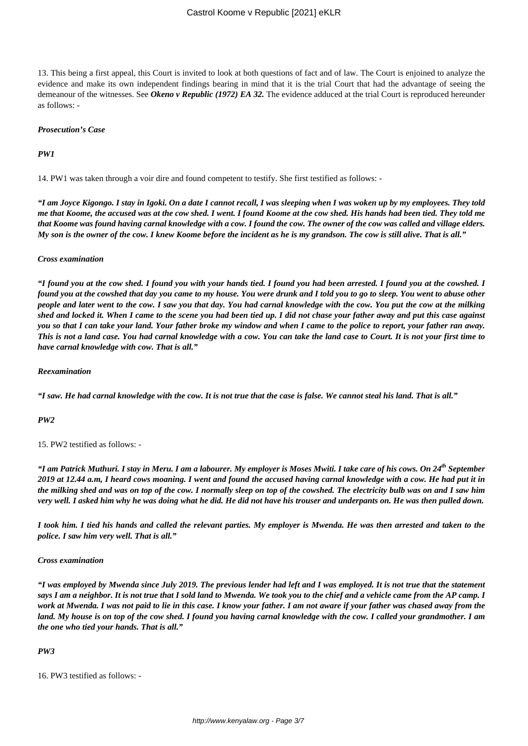## Castrol Koome v Republic [2021] eKLR

13. This being a first appeal, this Court is invited to look at both questions of fact and of law. The Court is enjoined to analyze the evidence and make its own independent findings bearing in mind that it is the trial Court that had the advantage of seeing the demeanour of the witnesses. See *Okeno v Republic (1972) EA 32.* The evidence adduced at the trial Court is reproduced hereunder as follows: -

#### *Prosecution's Case*

### *PW1*

14. PW1 was taken through a voir dire and found competent to testify. She first testified as follows: -

*"I am Joyce Kigongo. I stay in Igoki. On a date I cannot recall, I was sleeping when I was woken up by my employees. They told me that Koome, the accused was at the cow shed. I went. I found Koome at the cow shed. His hands had been tied. They told me that Koome was found having carnal knowledge with a cow. I found the cow. The owner of the cow was called and village elders. My son is the owner of the cow. I knew Koome before the incident as he is my grandson. The cow is still alive. That is all."*

#### *Cross examination*

*"I found you at the cow shed. I found you with your hands tied. I found you had been arrested. I found you at the cowshed. I found you at the cowshed that day you came to my house. You were drunk and I told you to go to sleep. You went to abuse other people and later went to the cow. I saw you that day. You had carnal knowledge with the cow. You put the cow at the milking shed and locked it. When I came to the scene you had been tied up. I did not chase your father away and put this case against you so that I can take your land. Your father broke my window and when I came to the police to report, your father ran away. This is not a land case. You had carnal knowledge with a cow. You can take the land case to Court. It is not your first time to have carnal knowledge with cow. That is all."*

#### *Reexamination*

*"I saw. He had carnal knowledge with the cow. It is not true that the case is false. We cannot steal his land. That is all."*

#### *PW2*

15. PW2 testified as follows: -

*"I am Patrick Muthuri. I stay in Meru. I am a labourer. My employer is Moses Mwiti. I take care of his cows. On 24th September 2019 at 12.44 a.m, I heard cows moaning. I went and found the accused having carnal knowledge with a cow. He had put it in the milking shed and was on top of the cow. I normally sleep on top of the cowshed. The electricity bulb was on and I saw him very well. I asked him why he was doing what he did. He did not have his trouser and underpants on. He was then pulled down.*

*I took him. I tied his hands and called the relevant parties. My employer is Mwenda. He was then arrested and taken to the police. I saw him very well. That is all."*

#### *Cross examination*

*"I was employed by Mwenda since July 2019. The previous lender had left and I was employed. It is not true that the statement says I am a neighbor. It is not true that I sold land to Mwenda. We took you to the chief and a vehicle came from the AP camp. I work at Mwenda. I was not paid to lie in this case. I know your father. I am not aware if your father was chased away from the land. My house is on top of the cow shed. I found you having carnal knowledge with the cow. I called your grandmother. I am the one who tied your hands. That is all."*

#### *PW3*

16. PW3 testified as follows: -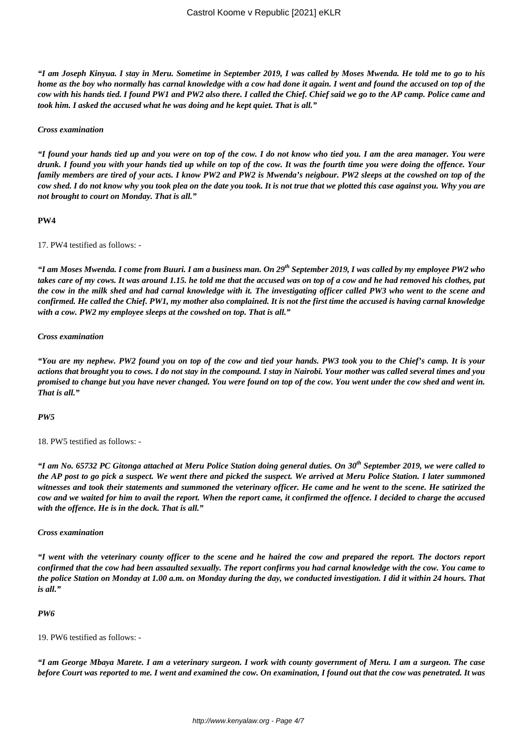*"I am Joseph Kinyua. I stay in Meru. Sometime in September 2019, I was called by Moses Mwenda. He told me to go to his home as the boy who normally has carnal knowledge with a cow had done it again. I went and found the accused on top of the cow with his hands tied. I found PW1 and PW2 also there. I called the Chief. Chief said we go to the AP camp. Police came and took him. I asked the accused what he was doing and he kept quiet. That is all."*

#### *Cross examination*

*"I found your hands tied up and you were on top of the cow. I do not know who tied you. I am the area manager. You were drunk. I found you with your hands tied up while on top of the cow. It was the fourth time you were doing the offence. Your family members are tired of your acts. I know PW2 and PW2 is Mwenda's neigbour. PW2 sleeps at the cowshed on top of the cow shed. I do not know why you took plea on the date you took. It is not true that we plotted this case against you. Why you are not brought to court on Monday. That is all."*

#### **PW4**

17. PW4 testified as follows: -

*"I am Moses Mwenda. I come from Buuri. I am a business man. On 29th September 2019, I was called by my employee PW2 who takes care of my cows. It was around 1.15. he told me that the accused was on top of a cow and he had removed his clothes, put the cow in the milk shed and had carnal knowledge with it. The investigating officer called PW3 who went to the scene and confirmed. He called the Chief. PW1, my mother also complained. It is not the first time the accused is having carnal knowledge with a cow. PW2 my employee sleeps at the cowshed on top. That is all."*

#### *Cross examination*

*"You are my nephew. PW2 found you on top of the cow and tied your hands. PW3 took you to the Chief's camp. It is your actions that brought you to cows. I do not stay in the compound. I stay in Nairobi. Your mother was called several times and you promised to change but you have never changed. You were found on top of the cow. You went under the cow shed and went in. That is all."*

#### *PW5*

18. PW5 testified as follows: -

*"I am No. 65732 PC Gitonga attached at Meru Police Station doing general duties. On 30th September 2019, we were called to the AP post to go pick a suspect. We went there and picked the suspect. We arrived at Meru Police Station. I later summoned witnesses and took their statements and summoned the veterinary officer. He came and he went to the scene. He satirized the cow and we waited for him to avail the report. When the report came, it confirmed the offence. I decided to charge the accused with the offence. He is in the dock. That is all."*

#### *Cross examination*

*"I went with the veterinary county officer to the scene and he haired the cow and prepared the report. The doctors report confirmed that the cow had been assaulted sexually. The report confirms you had carnal knowledge with the cow. You came to the police Station on Monday at 1.00 a.m. on Monday during the day, we conducted investigation. I did it within 24 hours. That is all."*

#### *PW6*

19. PW6 testified as follows: -

*"I am George Mbaya Marete. I am a veterinary surgeon. I work with county government of Meru. I am a surgeon. The case before Court was reported to me. I went and examined the cow. On examination, I found out that the cow was penetrated. It was*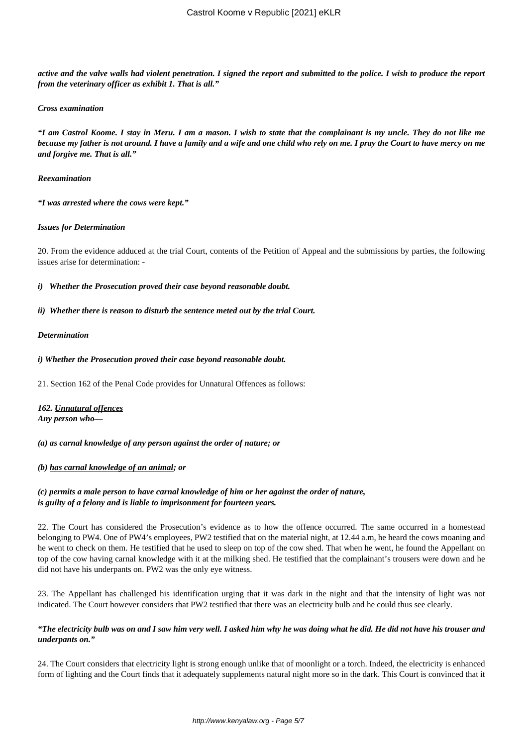*active and the valve walls had violent penetration. I signed the report and submitted to the police. I wish to produce the report from the veterinary officer as exhibit 1. That is all."*

#### *Cross examination*

*"I am Castrol Koome. I stay in Meru. I am a mason. I wish to state that the complainant is my uncle. They do not like me because my father is not around. I have a family and a wife and one child who rely on me. I pray the Court to have mercy on me and forgive me. That is all."*

#### *Reexamination*

*"I was arrested where the cows were kept."*

### *Issues for Determination*

20. From the evidence adduced at the trial Court, contents of the Petition of Appeal and the submissions by parties, the following issues arise for determination: -

*i) Whether the Prosecution proved their case beyond reasonable doubt.*

### *ii) Whether there is reason to disturb the sentence meted out by the trial Court.*

### *Determination*

### *i) Whether the Prosecution proved their case beyond reasonable doubt.*

21. Section 162 of the Penal Code provides for Unnatural Offences as follows:

# *162. Unnatural offences*

*Any person who—*

*(a) as carnal knowledge of any person against the order of nature; or*

## *(b) has carnal knowledge of an animal; or*

## *(c) permits a male person to have carnal knowledge of him or her against the order of nature, is guilty of a felony and is liable to imprisonment for fourteen years.*

22. The Court has considered the Prosecution's evidence as to how the offence occurred. The same occurred in a homestead belonging to PW4. One of PW4's employees, PW2 testified that on the material night, at 12.44 a.m, he heard the cows moaning and he went to check on them. He testified that he used to sleep on top of the cow shed. That when he went, he found the Appellant on top of the cow having carnal knowledge with it at the milking shed. He testified that the complainant's trousers were down and he did not have his underpants on. PW2 was the only eye witness.

23. The Appellant has challenged his identification urging that it was dark in the night and that the intensity of light was not indicated. The Court however considers that PW2 testified that there was an electricity bulb and he could thus see clearly.

## *"The electricity bulb was on and I saw him very well. I asked him why he was doing what he did. He did not have his trouser and underpants on."*

24. The Court considers that electricity light is strong enough unlike that of moonlight or a torch. Indeed, the electricity is enhanced form of lighting and the Court finds that it adequately supplements natural night more so in the dark. This Court is convinced that it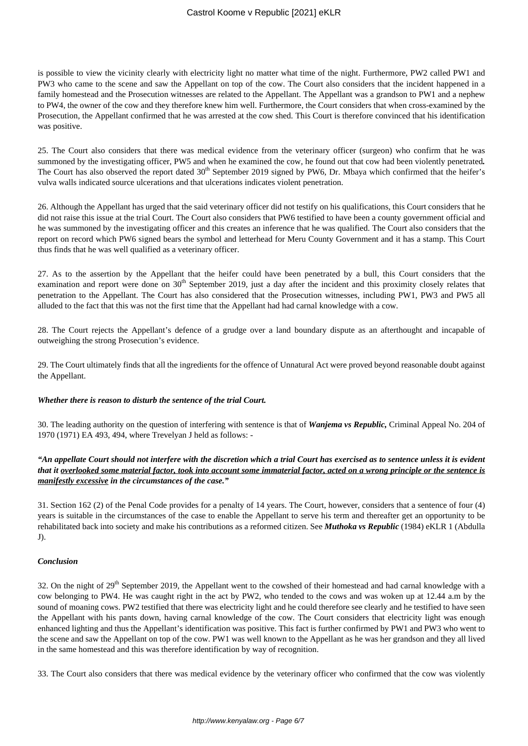is possible to view the vicinity clearly with electricity light no matter what time of the night. Furthermore, PW2 called PW1 and PW3 who came to the scene and saw the Appellant on top of the cow. The Court also considers that the incident happened in a family homestead and the Prosecution witnesses are related to the Appellant. The Appellant was a grandson to PW1 and a nephew to PW4, the owner of the cow and they therefore knew him well. Furthermore, the Court considers that when cross-examined by the Prosecution, the Appellant confirmed that he was arrested at the cow shed. This Court is therefore convinced that his identification was positive.

25. The Court also considers that there was medical evidence from the veterinary officer (surgeon) who confirm that he was summoned by the investigating officer, PW5 and when he examined the cow, he found out that cow had been violently penetrated*.* The Court has also observed the report dated 30<sup>th</sup> September 2019 signed by PW6, Dr. Mbaya which confirmed that the heifer's vulva walls indicated source ulcerations and that ulcerations indicates violent penetration.

26. Although the Appellant has urged that the said veterinary officer did not testify on his qualifications, this Court considers that he did not raise this issue at the trial Court. The Court also considers that PW6 testified to have been a county government official and he was summoned by the investigating officer and this creates an inference that he was qualified. The Court also considers that the report on record which PW6 signed bears the symbol and letterhead for Meru County Government and it has a stamp. This Court thus finds that he was well qualified as a veterinary officer.

27. As to the assertion by the Appellant that the heifer could have been penetrated by a bull, this Court considers that the examination and report were done on  $30<sup>th</sup>$  September 2019, just a day after the incident and this proximity closely relates that penetration to the Appellant. The Court has also considered that the Prosecution witnesses, including PW1, PW3 and PW5 all alluded to the fact that this was not the first time that the Appellant had had carnal knowledge with a cow.

28. The Court rejects the Appellant's defence of a grudge over a land boundary dispute as an afterthought and incapable of outweighing the strong Prosecution's evidence.

29. The Court ultimately finds that all the ingredients for the offence of Unnatural Act were proved beyond reasonable doubt against the Appellant.

## *Whether there is reason to disturb the sentence of the trial Court.*

30. The leading authority on the question of interfering with sentence is that of *Wanjema vs Republic,* Criminal Appeal No. 204 of 1970 (1971) EA 493, 494, where Trevelyan J held as follows: -

## *"An appellate Court should not interfere with the discretion which a trial Court has exercised as to sentence unless it is evident that it overlooked some material factor, took into account some immaterial factor, acted on a wrong principle or the sentence is manifestly excessive in the circumstances of the case."*

31. Section 162 (2) of the Penal Code provides for a penalty of 14 years. The Court, however, considers that a sentence of four (4) years is suitable in the circumstances of the case to enable the Appellant to serve his term and thereafter get an opportunity to be rehabilitated back into society and make his contributions as a reformed citizen. See *Muthoka vs Republic* (1984) eKLR 1 (Abdulla J).

#### *Conclusion*

32. On the night of 29<sup>th</sup> September 2019, the Appellant went to the cowshed of their homestead and had carnal knowledge with a cow belonging to PW4. He was caught right in the act by PW2, who tended to the cows and was woken up at 12.44 a.m by the sound of moaning cows. PW2 testified that there was electricity light and he could therefore see clearly and he testified to have seen the Appellant with his pants down, having carnal knowledge of the cow. The Court considers that electricity light was enough enhanced lighting and thus the Appellant's identification was positive. This fact is further confirmed by PW1 and PW3 who went to the scene and saw the Appellant on top of the cow. PW1 was well known to the Appellant as he was her grandson and they all lived in the same homestead and this was therefore identification by way of recognition.

33. The Court also considers that there was medical evidence by the veterinary officer who confirmed that the cow was violently